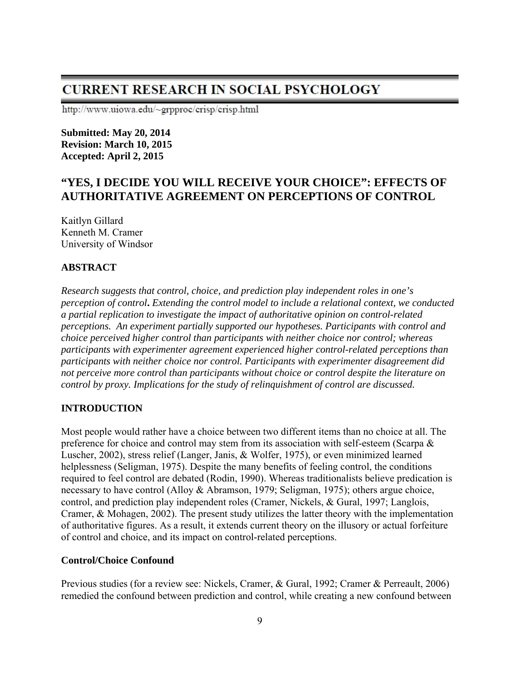# **CURRENT RESEARCH IN SOCIAL PSYCHOLOGY**

http://www.uiowa.edu/~grpproc/crisp/crisp.html

**Submitted: May 20, 2014 Revision: March 10, 2015 Accepted: April 2, 2015**

# **"YES, I DECIDE YOU WILL RECEIVE YOUR CHOICE": EFFECTS OF AUTHORITATIVE AGREEMENT ON PERCEPTIONS OF CONTROL**

Kaitlyn Gillard Kenneth M. Cramer University of Windsor

# **ABSTRACT**

*Research suggests that control, choice, and prediction play independent roles in one's perception of control***.** *Extending the control model to include a relational context, we conducted a partial replication to investigate the impact of authoritative opinion on control-related perceptions. An experiment partially supported our hypotheses. Participants with control and choice perceived higher control than participants with neither choice nor control; whereas participants with experimenter agreement experienced higher control-related perceptions than participants with neither choice nor control. Participants with experimenter disagreement did not perceive more control than participants without choice or control despite the literature on control by proxy. Implications for the study of relinquishment of control are discussed.* 

# **INTRODUCTION**

Most people would rather have a choice between two different items than no choice at all. The preference for choice and control may stem from its association with self-esteem (Scarpa & Luscher, 2002), stress relief (Langer, Janis, & Wolfer, 1975), or even minimized learned helplessness (Seligman, 1975). Despite the many benefits of feeling control, the conditions required to feel control are debated (Rodin, 1990). Whereas traditionalists believe predication is necessary to have control (Alloy & Abramson, 1979; Seligman, 1975); others argue choice, control, and prediction play independent roles (Cramer, Nickels, & Gural, 1997; Langlois, Cramer, & Mohagen, 2002). The present study utilizes the latter theory with the implementation of authoritative figures. As a result, it extends current theory on the illusory or actual forfeiture of control and choice, and its impact on control-related perceptions.

# **Control/Choice Confound**

Previous studies (for a review see: Nickels, Cramer, & Gural, 1992; Cramer & Perreault, 2006) remedied the confound between prediction and control, while creating a new confound between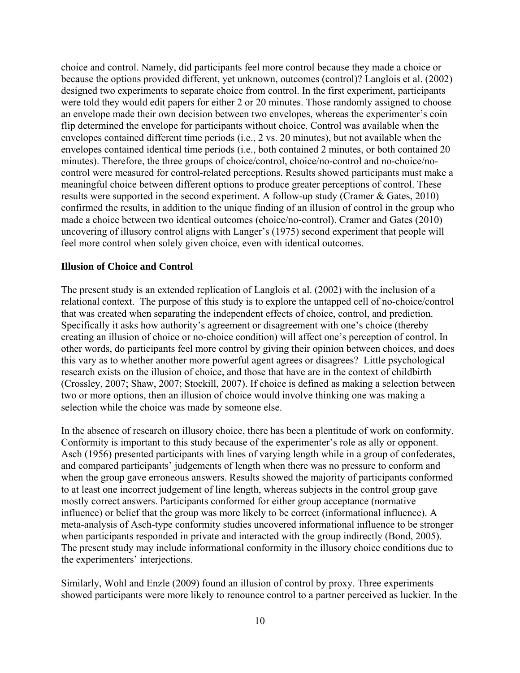choice and control. Namely, did participants feel more control because they made a choice or because the options provided different, yet unknown, outcomes (control)? Langlois et al. (2002) designed two experiments to separate choice from control. In the first experiment, participants were told they would edit papers for either 2 or 20 minutes. Those randomly assigned to choose an envelope made their own decision between two envelopes, whereas the experimenter's coin flip determined the envelope for participants without choice. Control was available when the envelopes contained different time periods (i.e., 2 vs. 20 minutes), but not available when the envelopes contained identical time periods (i.e., both contained 2 minutes, or both contained 20 minutes). Therefore, the three groups of choice/control, choice/no-control and no-choice/nocontrol were measured for control-related perceptions. Results showed participants must make a meaningful choice between different options to produce greater perceptions of control. These results were supported in the second experiment. A follow-up study (Cramer & Gates, 2010) confirmed the results, in addition to the unique finding of an illusion of control in the group who made a choice between two identical outcomes (choice/no-control). Cramer and Gates (2010) uncovering of illusory control aligns with Langer's (1975) second experiment that people will feel more control when solely given choice, even with identical outcomes.

### **Illusion of Choice and Control**

The present study is an extended replication of Langlois et al. (2002) with the inclusion of a relational context. The purpose of this study is to explore the untapped cell of no-choice/control that was created when separating the independent effects of choice, control, and prediction. Specifically it asks how authority's agreement or disagreement with one's choice (thereby creating an illusion of choice or no-choice condition) will affect one's perception of control. In other words, do participants feel more control by giving their opinion between choices, and does this vary as to whether another more powerful agent agrees or disagrees? Little psychological research exists on the illusion of choice, and those that have are in the context of childbirth (Crossley, 2007; Shaw, 2007; Stockill, 2007). If choice is defined as making a selection between two or more options, then an illusion of choice would involve thinking one was making a selection while the choice was made by someone else.

In the absence of research on illusory choice, there has been a plentitude of work on conformity. Conformity is important to this study because of the experimenter's role as ally or opponent. Asch (1956) presented participants with lines of varying length while in a group of confederates, and compared participants' judgements of length when there was no pressure to conform and when the group gave erroneous answers. Results showed the majority of participants conformed to at least one incorrect judgement of line length, whereas subjects in the control group gave mostly correct answers. Participants conformed for either group acceptance (normative influence) or belief that the group was more likely to be correct (informational influence). A meta-analysis of Asch-type conformity studies uncovered informational influence to be stronger when participants responded in private and interacted with the group indirectly (Bond, 2005). The present study may include informational conformity in the illusory choice conditions due to the experimenters' interjections.

Similarly, Wohl and Enzle (2009) found an illusion of control by proxy. Three experiments showed participants were more likely to renounce control to a partner perceived as luckier. In the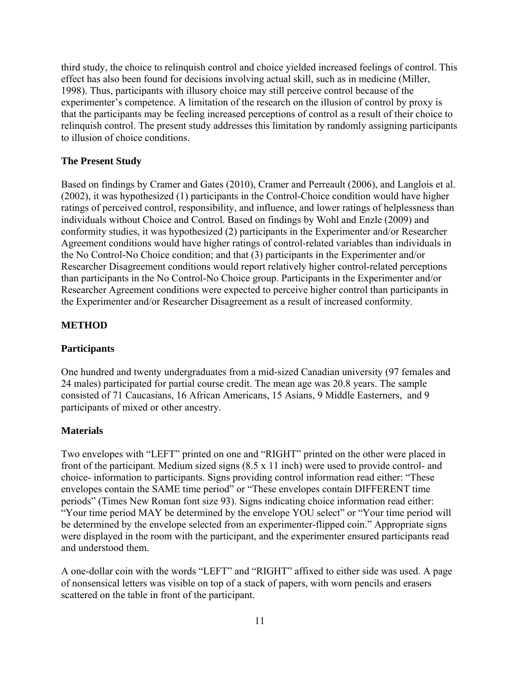third study, the choice to relinquish control and choice yielded increased feelings of control. This effect has also been found for decisions involving actual skill, such as in medicine (Miller, 1998). Thus, participants with illusory choice may still perceive control because of the experimenter's competence. A limitation of the research on the illusion of control by proxy is that the participants may be feeling increased perceptions of control as a result of their choice to relinquish control. The present study addresses this limitation by randomly assigning participants to illusion of choice conditions.

### **The Present Study**

Based on findings by Cramer and Gates (2010), Cramer and Perreault (2006), and Langlois et al. (2002), it was hypothesized (1) participants in the Control-Choice condition would have higher ratings of perceived control, responsibility, and influence, and lower ratings of helplessness than individuals without Choice and Control. Based on findings by Wohl and Enzle (2009) and conformity studies, it was hypothesized (2) participants in the Experimenter and/or Researcher Agreement conditions would have higher ratings of control-related variables than individuals in the No Control-No Choice condition; and that (3) participants in the Experimenter and/or Researcher Disagreement conditions would report relatively higher control-related perceptions than participants in the No Control-No Choice group. Participants in the Experimenter and/or Researcher Agreement conditions were expected to perceive higher control than participants in the Experimenter and/or Researcher Disagreement as a result of increased conformity.

### **METHOD**

#### **Participants**

One hundred and twenty undergraduates from a mid-sized Canadian university (97 females and 24 males) participated for partial course credit. The mean age was 20.8 years. The sample consisted of 71 Caucasians, 16 African Americans, 15 Asians, 9 Middle Easterners, and 9 participants of mixed or other ancestry.

#### **Materials**

Two envelopes with "LEFT" printed on one and "RIGHT" printed on the other were placed in front of the participant. Medium sized signs (8.5 x 11 inch) were used to provide control- and choice- information to participants. Signs providing control information read either: "These envelopes contain the SAME time period" or "These envelopes contain DIFFERENT time periods" (Times New Roman font size 93). Signs indicating choice information read either: "Your time period MAY be determined by the envelope YOU select" or "Your time period will be determined by the envelope selected from an experimenter-flipped coin." Appropriate signs were displayed in the room with the participant, and the experimenter ensured participants read and understood them.

A one-dollar coin with the words "LEFT" and "RIGHT" affixed to either side was used. A page of nonsensical letters was visible on top of a stack of papers, with worn pencils and erasers scattered on the table in front of the participant.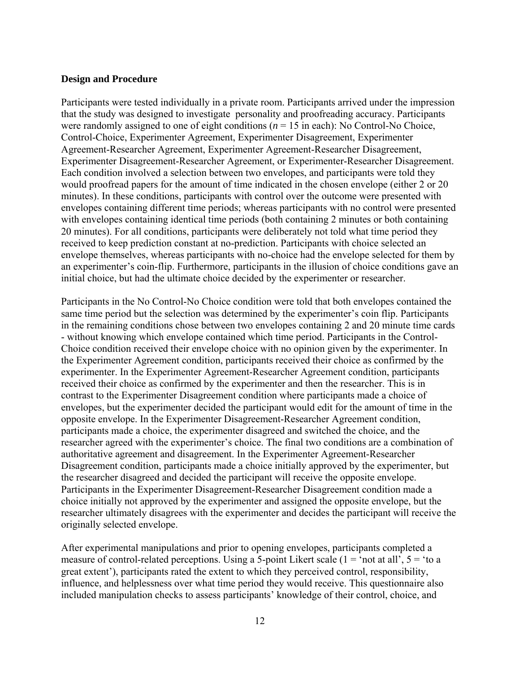#### **Design and Procedure**

Participants were tested individually in a private room. Participants arrived under the impression that the study was designed to investigate personality and proofreading accuracy. Participants were randomly assigned to one of eight conditions  $(n = 15$  in each): No Control-No Choice, Control-Choice, Experimenter Agreement, Experimenter Disagreement, Experimenter Agreement-Researcher Agreement, Experimenter Agreement-Researcher Disagreement, Experimenter Disagreement-Researcher Agreement, or Experimenter-Researcher Disagreement. Each condition involved a selection between two envelopes, and participants were told they would proofread papers for the amount of time indicated in the chosen envelope (either 2 or 20 minutes). In these conditions, participants with control over the outcome were presented with envelopes containing different time periods; whereas participants with no control were presented with envelopes containing identical time periods (both containing 2 minutes or both containing 20 minutes). For all conditions, participants were deliberately not told what time period they received to keep prediction constant at no-prediction. Participants with choice selected an envelope themselves, whereas participants with no-choice had the envelope selected for them by an experimenter's coin-flip. Furthermore, participants in the illusion of choice conditions gave an initial choice, but had the ultimate choice decided by the experimenter or researcher.

Participants in the No Control-No Choice condition were told that both envelopes contained the same time period but the selection was determined by the experimenter's coin flip. Participants in the remaining conditions chose between two envelopes containing 2 and 20 minute time cards - without knowing which envelope contained which time period. Participants in the Control-Choice condition received their envelope choice with no opinion given by the experimenter. In the Experimenter Agreement condition, participants received their choice as confirmed by the experimenter. In the Experimenter Agreement-Researcher Agreement condition, participants received their choice as confirmed by the experimenter and then the researcher. This is in contrast to the Experimenter Disagreement condition where participants made a choice of envelopes, but the experimenter decided the participant would edit for the amount of time in the opposite envelope. In the Experimenter Disagreement-Researcher Agreement condition, participants made a choice, the experimenter disagreed and switched the choice, and the researcher agreed with the experimenter's choice. The final two conditions are a combination of authoritative agreement and disagreement. In the Experimenter Agreement-Researcher Disagreement condition, participants made a choice initially approved by the experimenter, but the researcher disagreed and decided the participant will receive the opposite envelope. Participants in the Experimenter Disagreement-Researcher Disagreement condition made a choice initially not approved by the experimenter and assigned the opposite envelope, but the researcher ultimately disagrees with the experimenter and decides the participant will receive the originally selected envelope.

After experimental manipulations and prior to opening envelopes, participants completed a measure of control-related perceptions. Using a 5-point Likert scale  $(1 = 'not at all', 5 = 'to a$ great extent'), participants rated the extent to which they perceived control, responsibility, influence, and helplessness over what time period they would receive. This questionnaire also included manipulation checks to assess participants' knowledge of their control, choice, and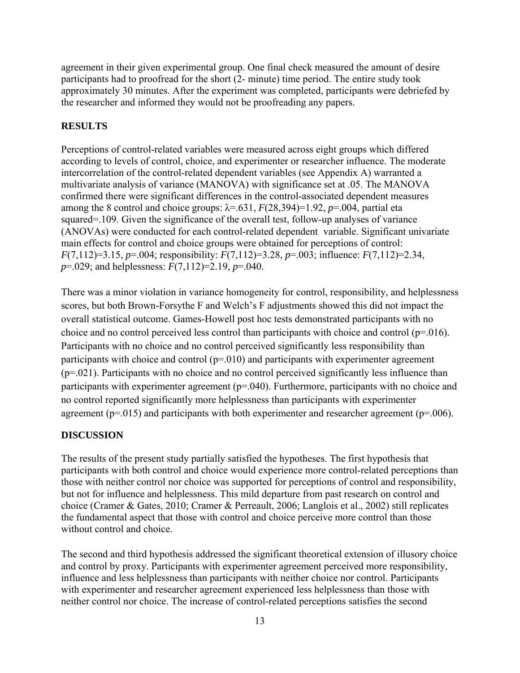agreement in their given experimental group. One final check measured the amount of desire participants had to proofread for the short (2- minute) time period. The entire study took approximately 30 minutes. After the experiment was completed, participants were debriefed by the researcher and informed they would not be proofreading any papers.

### **RESULTS**

Perceptions of control-related variables were measured across eight groups which differed according to levels of control, choice, and experimenter or researcher influence. The moderate intercorrelation of the control-related dependent variables (see Appendix A) warranted a multivariate analysis of variance (MANOVA) with significance set at .05. The MANOVA confirmed there were significant differences in the control-associated dependent measures among the 8 control and choice groups:  $\lambda = .631$ ,  $F(28,394)=1.92$ ,  $p=.004$ , partial eta squared=.109. Given the significance of the overall test, follow-up analyses of variance (ANOVAs) were conducted for each control-related dependent variable. Significant univariate main effects for control and choice groups were obtained for perceptions of control: *F*(7,112)=3.15, *p*=.004; responsibility: *F*(7,112)=3.28, *p*=.003; influence: *F*(7,112)=2.34, *p*=.029; and helplessness: *F*(7,112)=2.19, *p*=.040.

There was a minor violation in variance homogeneity for control, responsibility, and helplessness scores, but both Brown-Forsythe F and Welch's F adjustments showed this did not impact the overall statistical outcome. Games-Howell post hoc tests demonstrated participants with no choice and no control perceived less control than participants with choice and control (p=.016). Participants with no choice and no control perceived significantly less responsibility than participants with choice and control  $(p=010)$  and participants with experimenter agreement (p=.021). Participants with no choice and no control perceived significantly less influence than participants with experimenter agreement (p=.040). Furthermore, participants with no choice and no control reported significantly more helplessness than participants with experimenter agreement ( $p=0.015$ ) and participants with both experimenter and researcher agreement ( $p=0.006$ ).

# **DISCUSSION**

The results of the present study partially satisfied the hypotheses. The first hypothesis that participants with both control and choice would experience more control-related perceptions than those with neither control nor choice was supported for perceptions of control and responsibility, but not for influence and helplessness. This mild departure from past research on control and choice (Cramer & Gates, 2010; Cramer & Perreault, 2006; Langlois et al., 2002) still replicates the fundamental aspect that those with control and choice perceive more control than those without control and choice.

The second and third hypothesis addressed the significant theoretical extension of illusory choice and control by proxy. Participants with experimenter agreement perceived more responsibility, influence and less helplessness than participants with neither choice nor control. Participants with experimenter and researcher agreement experienced less helplessness than those with neither control nor choice. The increase of control-related perceptions satisfies the second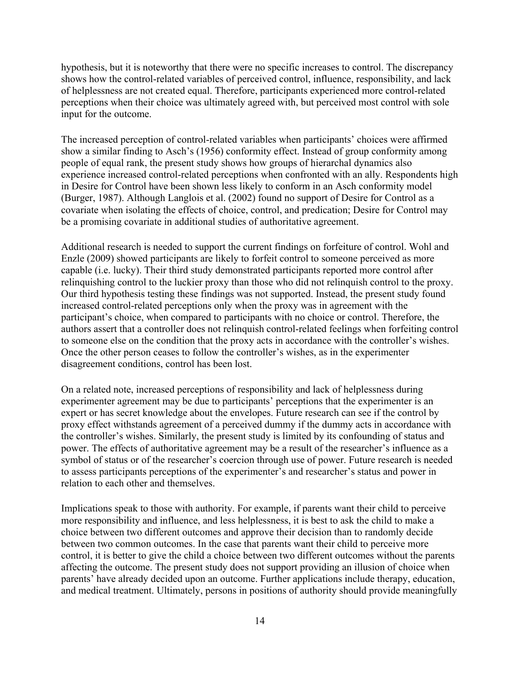hypothesis, but it is noteworthy that there were no specific increases to control. The discrepancy shows how the control-related variables of perceived control, influence, responsibility, and lack of helplessness are not created equal. Therefore, participants experienced more control-related perceptions when their choice was ultimately agreed with, but perceived most control with sole input for the outcome.

The increased perception of control-related variables when participants' choices were affirmed show a similar finding to Asch's (1956) conformity effect. Instead of group conformity among people of equal rank, the present study shows how groups of hierarchal dynamics also experience increased control-related perceptions when confronted with an ally. Respondents high in Desire for Control have been shown less likely to conform in an Asch conformity model (Burger, 1987). Although Langlois et al. (2002) found no support of Desire for Control as a covariate when isolating the effects of choice, control, and predication; Desire for Control may be a promising covariate in additional studies of authoritative agreement.

Additional research is needed to support the current findings on forfeiture of control. Wohl and Enzle (2009) showed participants are likely to forfeit control to someone perceived as more capable (i.e. lucky). Their third study demonstrated participants reported more control after relinquishing control to the luckier proxy than those who did not relinquish control to the proxy. Our third hypothesis testing these findings was not supported. Instead, the present study found increased control-related perceptions only when the proxy was in agreement with the participant's choice, when compared to participants with no choice or control. Therefore, the authors assert that a controller does not relinquish control-related feelings when forfeiting control to someone else on the condition that the proxy acts in accordance with the controller's wishes. Once the other person ceases to follow the controller's wishes, as in the experimenter disagreement conditions, control has been lost.

On a related note, increased perceptions of responsibility and lack of helplessness during experimenter agreement may be due to participants' perceptions that the experimenter is an expert or has secret knowledge about the envelopes. Future research can see if the control by proxy effect withstands agreement of a perceived dummy if the dummy acts in accordance with the controller's wishes. Similarly, the present study is limited by its confounding of status and power. The effects of authoritative agreement may be a result of the researcher's influence as a symbol of status or of the researcher's coercion through use of power. Future research is needed to assess participants perceptions of the experimenter's and researcher's status and power in relation to each other and themselves.

Implications speak to those with authority. For example, if parents want their child to perceive more responsibility and influence, and less helplessness, it is best to ask the child to make a choice between two different outcomes and approve their decision than to randomly decide between two common outcomes. In the case that parents want their child to perceive more control, it is better to give the child a choice between two different outcomes without the parents affecting the outcome. The present study does not support providing an illusion of choice when parents' have already decided upon an outcome. Further applications include therapy, education, and medical treatment. Ultimately, persons in positions of authority should provide meaningfully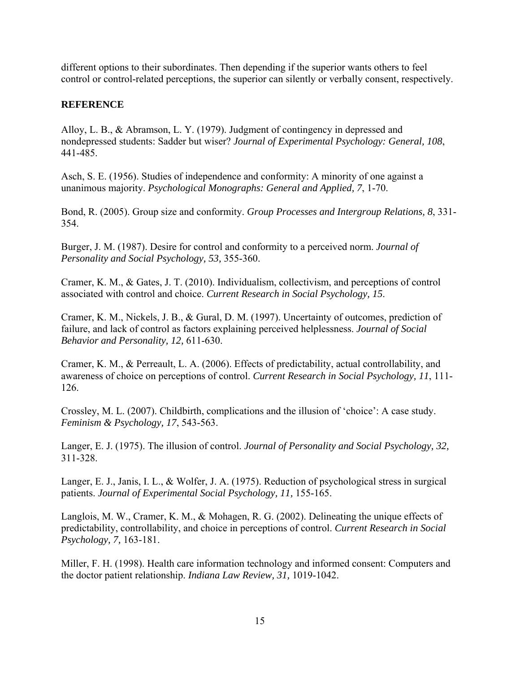different options to their subordinates. Then depending if the superior wants others to feel control or control-related perceptions, the superior can silently or verbally consent, respectively.

# **REFERENCE**

Alloy, L. B., & Abramson, L. Y. (1979). Judgment of contingency in depressed and nondepressed students: Sadder but wiser? *Journal of Experimental Psychology: General, 108*, 441-485.

Asch, S. E. (1956). Studies of independence and conformity: A minority of one against a unanimous majority. *Psychological Monographs: General and Applied, 7*, 1-70.

Bond, R. (2005). Group size and conformity. *Group Processes and Intergroup Relations, 8*, 331- 354.

Burger, J. M. (1987). Desire for control and conformity to a perceived norm. *Journal of Personality and Social Psychology, 53,* 355-360.

Cramer, K. M., & Gates, J. T. (2010). Individualism, collectivism, and perceptions of control associated with control and choice. *Current Research in Social Psychology, 15*.

Cramer, K. M., Nickels, J. B., & Gural, D. M. (1997). Uncertainty of outcomes, prediction of failure, and lack of control as factors explaining perceived helplessness. *Journal of Social Behavior and Personality, 12,* 611-630.

Cramer, K. M., & Perreault, L. A. (2006). Effects of predictability, actual controllability, and awareness of choice on perceptions of control. *Current Research in Social Psychology, 11*, 111- 126.

Crossley, M. L. (2007). Childbirth, complications and the illusion of 'choice': A case study. *Feminism & Psychology, 17*, 543-563.

Langer, E. J. (1975). The illusion of control. *Journal of Personality and Social Psychology, 32,*  311-328.

Langer, E. J., Janis, I. L., & Wolfer, J. A. (1975). Reduction of psychological stress in surgical patients. *Journal of Experimental Social Psychology, 11,* 155-165.

Langlois, M. W., Cramer, K. M., & Mohagen, R. G. (2002). Delineating the unique effects of predictability, controllability, and choice in perceptions of control. *Current Research in Social Psychology, 7,* 163-181.

Miller, F. H. (1998). Health care information technology and informed consent: Computers and the doctor patient relationship. *Indiana Law Review, 31,* 1019-1042.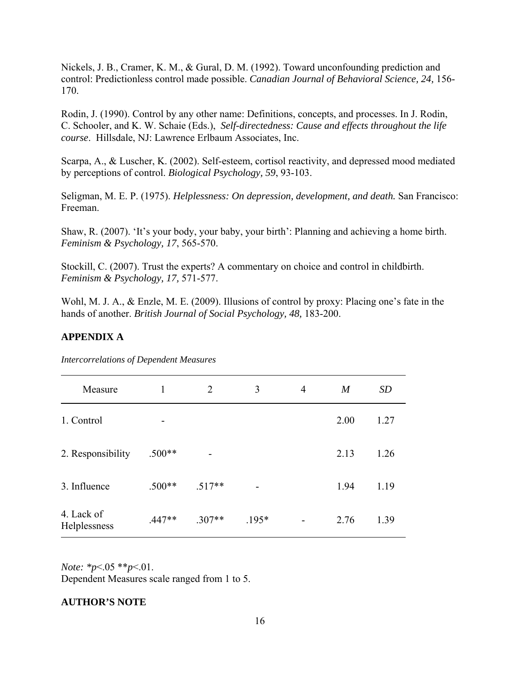Nickels, J. B., Cramer, K. M., & Gural, D. M. (1992). Toward unconfounding prediction and control: Predictionless control made possible. *Canadian Journal of Behavioral Science, 24,* 156- 170.

Rodin, J. (1990). Control by any other name: Definitions, concepts, and processes. In J. Rodin, C. Schooler, and K. W. Schaie (Eds.), *Self-directedness: Cause and effects throughout the life course*. Hillsdale, NJ: Lawrence Erlbaum Associates, Inc.

Scarpa, A., & Luscher, K. (2002). Self-esteem, cortisol reactivity, and depressed mood mediated by perceptions of control. *Biological Psychology, 59*, 93-103.

Seligman, M. E. P. (1975). *Helplessness: On depression, development, and death.* San Francisco: Freeman.

Shaw, R. (2007). 'It's your body, your baby, your birth': Planning and achieving a home birth. *Feminism & Psychology, 17*, 565-570.

Stockill, C. (2007). Trust the experts? A commentary on choice and control in childbirth. *Feminism & Psychology, 17,* 571-577.

Wohl, M. J. A., & Enzle, M. E. (2009). Illusions of control by proxy: Placing one's fate in the hands of another. *British Journal of Social Psychology, 48,* 183-200.

# **APPENDIX A**

| Measure                    | 1        | 2        | 3       | 4 | $\boldsymbol{M}$ | <b>SD</b> |
|----------------------------|----------|----------|---------|---|------------------|-----------|
| 1. Control                 | -        |          |         |   | 2.00             | 1.27      |
| 2. Responsibility          | $.500**$ |          |         |   | 2.13             | 1.26      |
| 3. Influence               | $.500**$ | $.517**$ |         |   | 1.94             | 1.19      |
| 4. Lack of<br>Helplessness | $.447**$ | $.307**$ | $.195*$ |   | 2.76             | 1.39      |

*Intercorrelations of Dependent Measures*

*Note: \*p*<.05 \*\**p*<.01.

Dependent Measures scale ranged from 1 to 5.

# **AUTHOR'S NOTE**